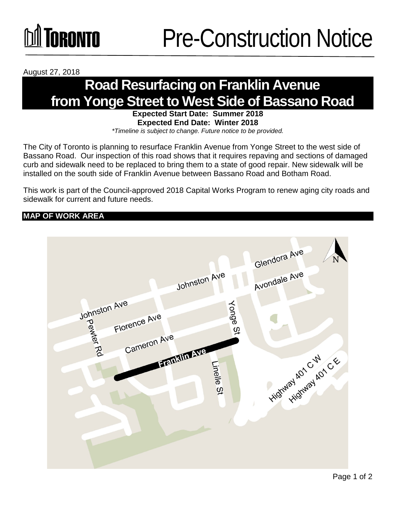

August 27, 2018

### **Road Resurfacing on Franklin Avenue from Yonge Street to West Side of Bassano Road**

**Expected Start Date: Summer 2018 Expected End Date: Winter 2018**  *\*Timeline is subject to change. Future notice to be provided.*

The City of Toronto is planning to resurface Franklin Avenue from Yonge Street to the west side of Bassano Road. Our inspection of this road shows that it requires repaving and sections of damaged curb and sidewalk need to be replaced to bring them to a state of good repair. New sidewalk will be installed on the south side of Franklin Avenue between Bassano Road and Botham Road.

This work is part of the Council-approved 2018 Capital Works Program to renew aging city roads and sidewalk for current and future needs.

### **MAP OF WORK AREA**